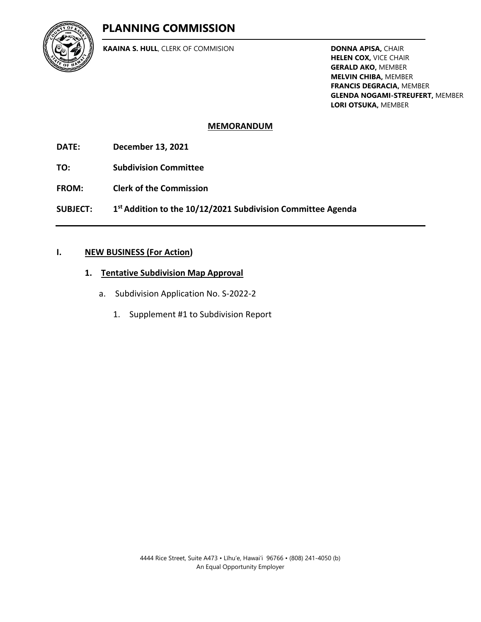# **PLANNING COMMISSION**



**KAAINA S. HULL**, CLERK OF COMMISION

**DONNA APISA,** CHAIR **HELEN COX,** VICE CHAIR **GERALD AKO,** MEMBER **MELVIN CHIBA,** MEMBER **FRANCIS DEGRACIA,** MEMBER **GLENDA NOGAMI-STREUFERT,** MEMBER **LORI OTSUKA,** MEMBER

## **MEMORANDUM**

**DATE: December 13, 2021**

**TO: Subdivision Committee**

**FROM: Clerk of the Commission**

**SUBJECT: 1 st Addition to the 10/12/2021 Subdivision Committee Agenda**

### **I. NEW BUSINESS (For Action)**

### **1. Tentative Subdivision Map Approval**

- a. Subdivision Application No. S-2022-2
	- 1. Supplement #1 to Subdivision Report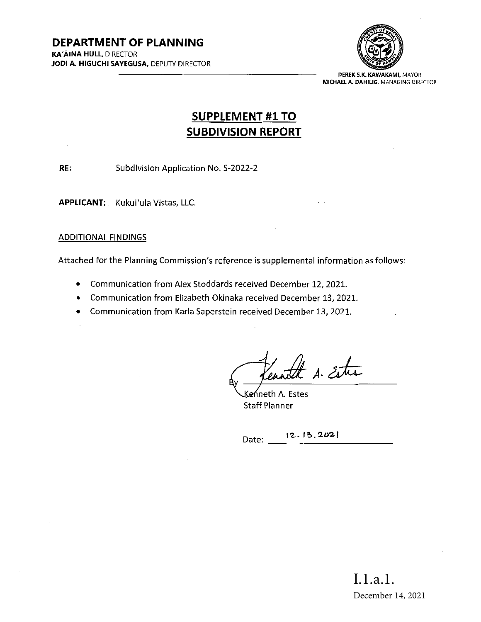

DEREK S.K. KAWAKAMI, MAYOR MICHAEL A. DAHILIG, MANAGING DIRECTOR

# SUPPLEMENT #1 TO SUBDIVISION REPORT

RE: Subdivision Application No. S-2022-2

APPLICANT: Kukui'ula Vistas, LLC.

### ADDITIONAL FINDINGS

Attached for the Planning Commission's reference is supplemental information as follows:

- Communication from Alex Stoddards received December 12, 2021.
- Communication from Elizabeth Okinaka received December 13, 2021.
- \* Communication from Karla Saperstein received December 13, 2021.

ruth A. Estre

Keńneth A. Estes Staff Planner

Date: 12.13.2021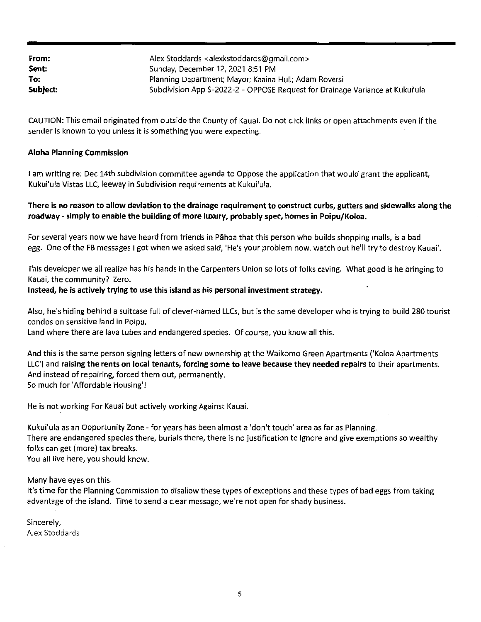| From:    | Alex Stoddards <alexkstoddards@gmail.com></alexkstoddards@gmail.com>         |
|----------|------------------------------------------------------------------------------|
| Sent:    | Sunday, December 12, 2021 8:51 PM                                            |
| To:      | Planning Department; Mayor; Kaaina Hull; Adam Roversi                        |
| Subject: | Subdivision App S-2022-2 - OPPOSE Request for Drainage Variance at Kukui'ula |

CAUTION: This email originated from outside the County of Kauai. Do not click links or open attachments even if the sender is known to you unless it is something you were expecting.

#### Aloha Planning Commission

<sup>I</sup> am writing re: Dec 14th subdivision committee agenda to Oppose the application that would grant the applicant, Kukui'ula Vistas LLC, leeway in Subdivision requirements at Kukui'ula.

#### There is no reason to allow deviation to the drainage requirement to construct curbs, gutters and sidewalks along the roadway - simply to enable the building of more luxury, probably spec, homes in Poipu/Koloa.

For several years now we have heard from friends in Pahoa that this person who builds shopping malls, is <sup>a</sup> bad egg. One of the FB messages i got when we asked said, 'He's your problem now, watch out he'll try to destroy Kauai'.

This developer we all realize has his hands in the Carpenters Union so lots offolks caving. What good is he bringing to Kauai, the community? Zero.

#### Instead, he is actively trying to use this island as his personal investment strategy.

Also, he's hiding behind <sup>a</sup> suitcase full of clever-named LLCs, but is the same developer who is trying to build 280 tourist condos on sensitive land in Poipu.

Land where there are lava tubes and endangered species. Of course, you know all this.

And this is the same person signing letters of new ownership at the Waikomo Green Apartments ('Koloa Apartments LLC') and raising the rents on local tenants, forcing some to leave because they needed repairs to their apartments. And instead of repairing, forced them out, permanently. So much for 'Affordable Housing'!

He is not working For Kauai but actively working Against Kauai.

Kukui'ula as an Opportunity Zone - for years has been almost <sup>a</sup> 'don't touch' area as far as Planning. There are endangered species there, burials there, there is no justification to ignore and give exemptions so wealthy folks can get (more) tax breaks.

You all live here, you should know.

Many have eyes on this.

It's time for the Planning Commission to disallow these types of exceptions and these types of bad eggs from taking advantage ofthe island. Time to send <sup>a</sup> clear message, we're not open for shady business.

Sincerely, Alex Stoddards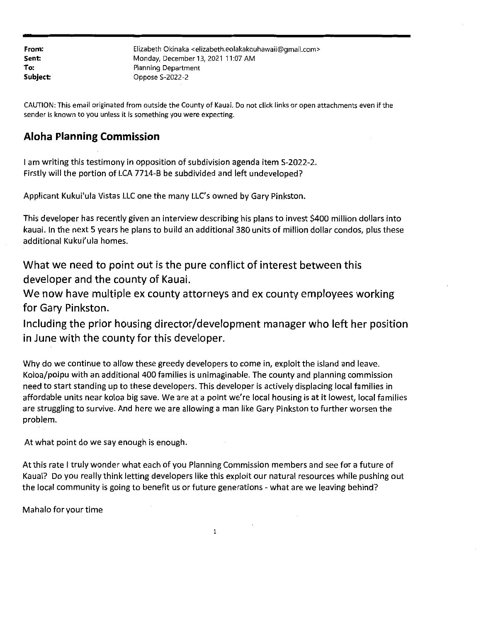| From:    | Elizabeth Okinaka <elizabeth.eolakakouhawaii@gmail.com></elizabeth.eolakakouhawaii@gmail.com> |
|----------|-----------------------------------------------------------------------------------------------|
| Sent:    | Monday, December 13, 2021 11:07 AM                                                            |
| To:      | Planning Department                                                                           |
| Subject: | Oppose S-2022-2                                                                               |

CAUTION: This email originated from outside the County of Kauai. Do not click links or open attachments even if the sender is known to you unless it is something you were expecting.

# Aloha Planning Commission

<sup>I</sup> am writing this testimony in opposition ofsubdivision agenda item S-2022-2. Firstly will the portion of LCA 7714-B be subdivided and left undeveloped?

Applicant Kukui'ula Vistas LLC one the many LLC's owned by Gary Pinkston.

This developer has recently given an interview describing his plans to invest \$400 million dollars into kauai. In the next <sup>5</sup> years he plans to build an additional 380 units of million dollar condos, plus these additional Kukui'ula homes.

What we need to point out is the pure conflict of interest between this developer and the county of Kauai.

We now have multiple ex county attorneys and ex county employees working for Gary Pinkston.

Including the prior housing director/development manager who left her position in June with the county for this developer.

Why do we continue to allow these greedy developers to come in, exploit the island and leave. Koloa/poipu with an additional 400 families is unimaginable. The county and planning commission need to start standing up to these developers. This developer is actively displacing local families in affordable units near koloa big save. We are at <sup>a</sup> point we're local housing is at it lowest, local families are struggling to survive. And here we are allowing <sup>a</sup> man like Gary Pinkston to further worsen the problem.

At what point do we say enough is enough.

At this rate <sup>1</sup> truly wonder what each of you Planning Commission members and see for <sup>a</sup> future of Kauai? Do you really think letting developers like this exploit our natural resources while pushing out the local community is going to benefit us or future generations - what are we leaving behind?

Mahalo for your time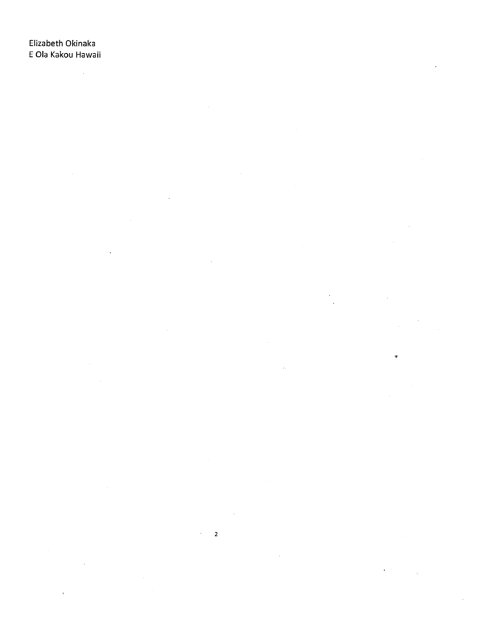$\bar{z}$ J.  $\bar{z}$  $\hat{\mathbf{r}}$ 

 $\mathbb{R}^2$  $\boldsymbol{\gamma}$ 

 $\bar{z}$ 

 $\sim$ 

 $\hat{\boldsymbol{\theta}}$  $\mathcal{A}^{\mathcal{A}}$  .  $\mathbf 2$  $\sim$  $\ddot{\phantom{a}}$  $\hat{\boldsymbol{\theta}}$ k,

 $\hat{\boldsymbol{\beta}}$  $\hat{\mathcal{A}}$